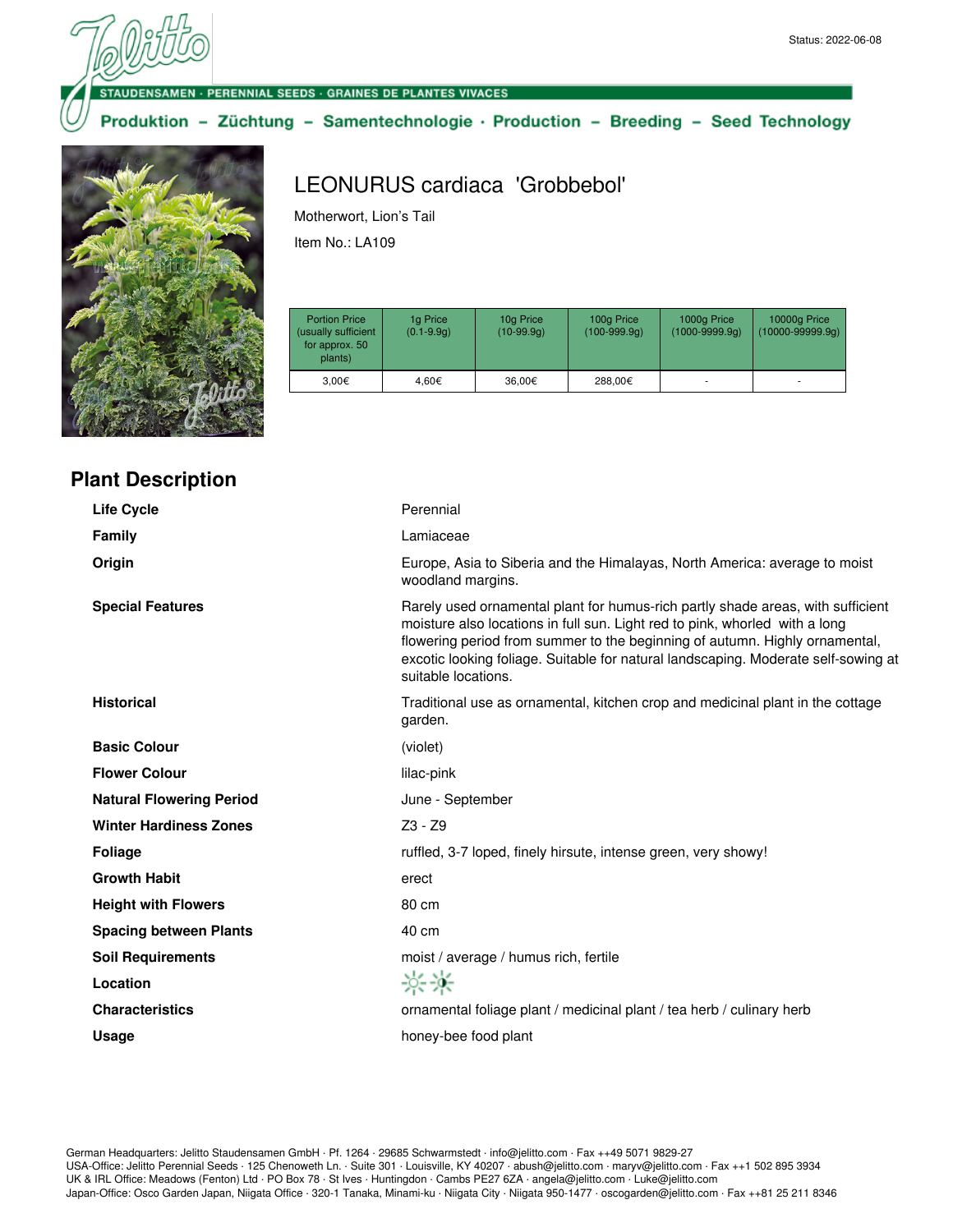#### **DENSAMEN · PERENNIAL SEEDS · GRAINES DE PLANTES VIVACES**

### Produktion - Züchtung - Samentechnologie · Production - Breeding - Seed Technology



**Plant Description**

# LEONURUS cardiaca 'Grobbebol'

Motherwort, Lion's Tail Item No.: LA109

| <b>Portion Price</b><br>(usually sufficient<br>for approx. 50<br>plants) | 1g Price<br>$(0.1 - 9.9q)$ | 10g Price<br>$(10-99.9q)$ | 100g Price<br>$(100-999.9q)$ | 1000g Price<br>$(1000 - 9999.9q)$ | 10000g Price<br>$(10000 - 99999.9q)$ |
|--------------------------------------------------------------------------|----------------------------|---------------------------|------------------------------|-----------------------------------|--------------------------------------|
| 3.00€                                                                    | 4.60€                      | 36.00€                    | 288.00€                      |                                   |                                      |

| <b>Life Cycle</b>               | Perennial                                                                                                                                                                                                                                                                                                                                                  |
|---------------------------------|------------------------------------------------------------------------------------------------------------------------------------------------------------------------------------------------------------------------------------------------------------------------------------------------------------------------------------------------------------|
| Family                          | Lamiaceae                                                                                                                                                                                                                                                                                                                                                  |
| Origin                          | Europe, Asia to Siberia and the Himalayas, North America: average to moist<br>woodland margins.                                                                                                                                                                                                                                                            |
| <b>Special Features</b>         | Rarely used ornamental plant for humus-rich partly shade areas, with sufficient<br>moisture also locations in full sun. Light red to pink, whorled with a long<br>flowering period from summer to the beginning of autumn. Highly ornamental,<br>excotic looking foliage. Suitable for natural landscaping. Moderate self-sowing at<br>suitable locations. |
| <b>Historical</b>               | Traditional use as ornamental, kitchen crop and medicinal plant in the cottage<br>garden.                                                                                                                                                                                                                                                                  |
| <b>Basic Colour</b>             | (violet)                                                                                                                                                                                                                                                                                                                                                   |
| <b>Flower Colour</b>            | lilac-pink                                                                                                                                                                                                                                                                                                                                                 |
| <b>Natural Flowering Period</b> | June - September                                                                                                                                                                                                                                                                                                                                           |
| <b>Winter Hardiness Zones</b>   | $Z3 - Z9$                                                                                                                                                                                                                                                                                                                                                  |
| <b>Foliage</b>                  | ruffled, 3-7 loped, finely hirsute, intense green, very showy!                                                                                                                                                                                                                                                                                             |
| <b>Growth Habit</b>             | erect                                                                                                                                                                                                                                                                                                                                                      |
| <b>Height with Flowers</b>      | 80 cm                                                                                                                                                                                                                                                                                                                                                      |
| <b>Spacing between Plants</b>   | 40 cm                                                                                                                                                                                                                                                                                                                                                      |
| <b>Soil Requirements</b>        | moist / average / humus rich, fertile                                                                                                                                                                                                                                                                                                                      |
| Location                        | 茶茶                                                                                                                                                                                                                                                                                                                                                         |
| <b>Characteristics</b>          | ornamental foliage plant / medicinal plant / tea herb / culinary herb                                                                                                                                                                                                                                                                                      |
| <b>Usage</b>                    | honey-bee food plant                                                                                                                                                                                                                                                                                                                                       |
|                                 |                                                                                                                                                                                                                                                                                                                                                            |